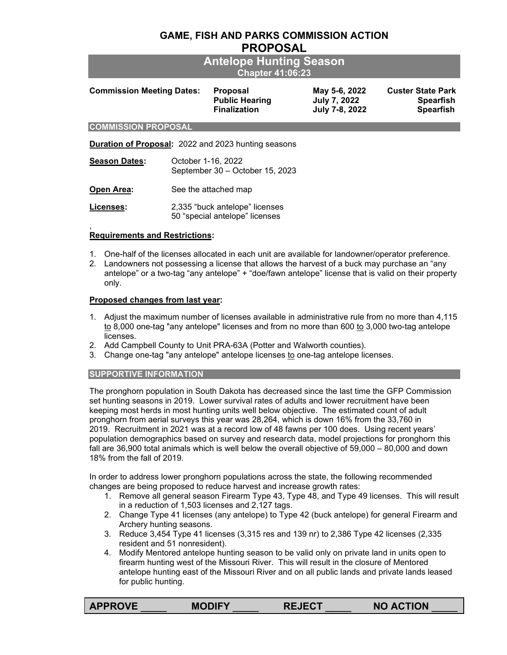# **GAME, FISH AND PARKS COMMISSION ACTION PROPOSAL**

| <b>Antelope Hunting Season</b> |
|--------------------------------|
| Chapter 41:06:23 <sup> </sup>  |

| <b>Commission Meeting Dates:</b> | <b>Proposal</b>       | May 5-6, 2022  | <b>Custer State Park</b> |
|----------------------------------|-----------------------|----------------|--------------------------|
|                                  | <b>Public Hearing</b> | July 7, 2022   | <b>Spearfish</b>         |
|                                  | <b>Finalization</b>   | July 7-8, 2022 | <b>Spearfish</b>         |

#### **COMMISSION PROPOSAL**

**Duration of Proposal:** 2022 and 2023 hunting seasons

| <b>Season Dates:</b> | October 1-16, 2022<br>September 30 - October 15, 2023 |  |  |
|----------------------|-------------------------------------------------------|--|--|
| <b>Open Area:</b>    | See the attached map                                  |  |  |
|                      |                                                       |  |  |

**Licenses:** 2,335 "buck antelope" licenses 50 "special antelope" licenses

#### , **Requirements and Restrictions:**

- 1. One-half of the licenses allocated in each unit are available for landowner/operator preference.
- 2. Landowners not possessing a license that allows the harvest of a buck may purchase an "any antelope" or a two-tag "any antelope" + "doe/fawn antelope" license that is valid on their property only.

### **Proposed changes from last year:**

- 1. Adjust the maximum number of licenses available in administrative rule from no more than 4,115 to 8,000 one-tag "any antelope" licenses and from no more than 600 to 3,000 two-tag antelope licenses.
- 2. Add Campbell County to Unit PRA-63A (Potter and Walworth counties).
- 3. Change one-tag "any antelope" antelope licenses to one-tag antelope licenses.

### **SUPPORTIVE INFORMATION**

The pronghorn population in South Dakota has decreased since the last time the GFP Commission set hunting seasons in 2019. Lower survival rates of adults and lower recruitment have been keeping most herds in most hunting units well below objective. The estimated count of adult pronghorn from aerial surveys this year was 28,264, which is down 16% from the 33,760 in 2019. Recruitment in 2021 was at a record low of 48 fawns per 100 does. Using recent years' population demographics based on survey and research data, model projections for pronghorn this fall are 36,900 total animals which is well below the overall objective of 59,000 – 80,000 and down 18% from the fall of 2019.

In order to address lower pronghorn populations across the state, the following recommended changes are being proposed to reduce harvest and increase growth rates:

- 1. Remove all general season Firearm Type 43, Type 48, and Type 49 licenses. This will result in a reduction of 1,503 licenses and 2,127 tags.
- 2. Change Type 41 licenses (any antelope) to Type 42 (buck antelope) for general Firearm and Archery hunting seasons.
- 3. Reduce 3,454 Type 41 licenses (3,315 res and 139 nr) to 2,386 Type 42 licenses (2,335 resident and 51 nonresident).
- 4. Modify Mentored antelope hunting season to be valid only on private land in units open to firearm hunting west of the Missouri River. This will result in the closure of Mentored antelope hunting east of the Missouri River and on all public lands and private lands leased for public hunting.

| <b>APPROVE</b> | <b>MODIFY</b> | <b>REJECT</b> | <b>NO ACTION</b> |
|----------------|---------------|---------------|------------------|
|                |               |               |                  |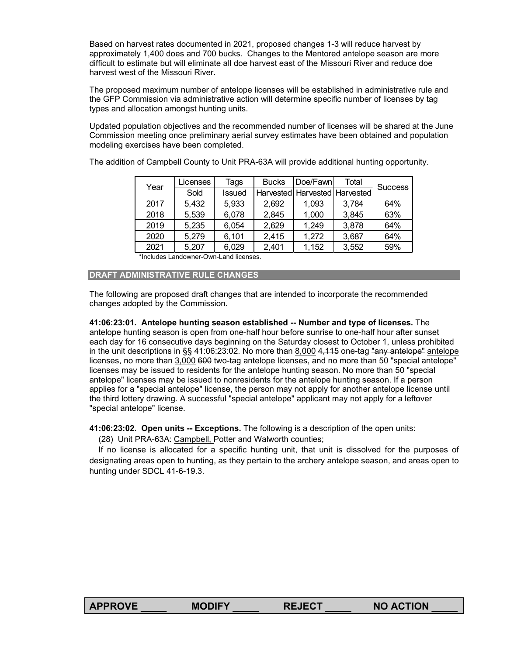Based on harvest rates documented in 2021, proposed changes 1-3 will reduce harvest by approximately 1,400 does and 700 bucks. Changes to the Mentored antelope season are more difficult to estimate but will eliminate all doe harvest east of the Missouri River and reduce doe harvest west of the Missouri River.

The proposed maximum number of antelope licenses will be established in administrative rule and the GFP Commission via administrative action will determine specific number of licenses by tag types and allocation amongst hunting units.

Updated population objectives and the recommended number of licenses will be shared at the June Commission meeting once preliminary aerial survey estimates have been obtained and population modeling exercises have been completed.

| Year | Licenses | Tags   | <b>Bucks</b> | Doe/Fawn                          | Total | <b>Success</b> |
|------|----------|--------|--------------|-----------------------------------|-------|----------------|
|      | Sold     | Issued |              | Harvested   Harvested   Harvested |       |                |
| 2017 | 5,432    | 5,933  | 2,692        | 1,093                             | 3,784 | 64%            |
| 2018 | 5,539    | 6,078  | 2,845        | 1,000                             | 3,845 | 63%            |
| 2019 | 5,235    | 6,054  | 2,629        | 1,249                             | 3,878 | 64%            |
| 2020 | 5,279    | 6,101  | 2,415        | 1,272                             | 3,687 | 64%            |
| 2021 | 5,207    | 6,029  | 2,401        | 1,152                             | 3,552 | 59%            |

The addition of Campbell County to Unit PRA-63A will provide additional hunting opportunity.

\*Includes Landowner-Own-Land licenses.

# **DRAFT ADMINISTRATIVE RULE CHANGES**

The following are proposed draft changes that are intended to incorporate the recommended changes adopted by the Commission.

**41:06:23:01. Antelope hunting season established -- Number and type of licenses.** The antelope hunting season is open from one-half hour before sunrise to one-half hour after sunset each day for 16 consecutive days beginning on the Saturday closest to October 1, unless prohibited in the unit descriptions in  $\S$ § 41:06:23:02. No more than 8,000 4,115 one-tag "any antelope" antelope licenses, no more than 3,000 600 two-tag antelope licenses, and no more than 50 "special antelope" licenses may be issued to residents for the antelope hunting season. No more than 50 "special antelope" licenses may be issued to nonresidents for the antelope hunting season. If a person applies for a "special antelope" license, the person may not apply for another antelope license until the third lottery drawing. A successful "special antelope" applicant may not apply for a leftover "special antelope" license.

**[41:06:23:02.](https://sdlegislature.gov/Rules?Rule=41:06:23:02) Open units -- Exceptions.** The following is a description of the open units:

(28) Unit PRA-63A: Campbell, Potter and Walworth counties;

 If no license is allocated for a specific hunting unit, that unit is dissolved for the purposes of designating areas open to hunting, as they pertain to the archery antelope season, and areas open to hunting under SDCL [41-6-19.3.](https://sdlegislature.gov/Statutes?Statute=41-6-19.3)

| <b>APPROVE</b><br><b>MODIFY</b><br>IFA<br>REJEUI | <b>NO ACTION</b> |
|--------------------------------------------------|------------------|
|--------------------------------------------------|------------------|